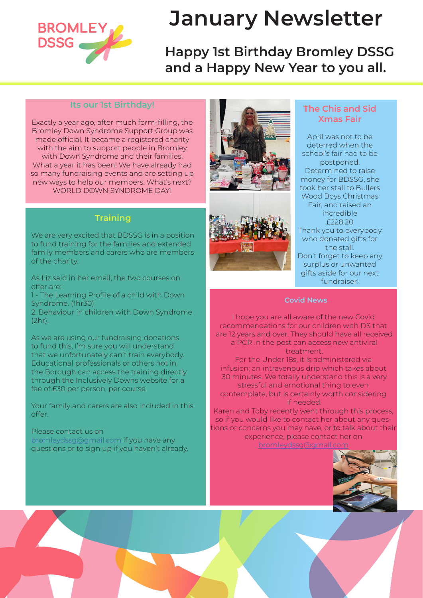

# **January Newsletter**

## **Happy 1st Birthday Bromley DSSG and a Happy New Year to you all.**

#### **Its our 1st Birthday!**

Exactly a year ago, after much form-filling, the Bromley Down Syndrome Support Group was made official. It became a registered charity with the aim to support people in Bromley with Down Syndrome and their families. What a year it has been! We have already had so many fundraising events and are setting up new ways to help our members. What's next? WORLD DOWN SYNDROME DAY!

#### **Training**

We are very excited that BDSSG is in a position to fund training for the families and extended family members and carers who are members of the charity.

As Liz said in her email, the two courses on offer are:

1 - The Learning Profile of a child with Down Syndrome. (1hr30)

2. Behaviour in children with Down Syndrome (2hr).

As we are using our fundraising donations to fund this, I'm sure you will understand that we unfortunately can't train everybody. Educational professionals or others not in the Borough can access the training directly through the Inclusively Downs website for a fee of £30 per person, per course.

Your family and carers are also included in this offer.

Please contact us on bromleydssg@gmail.com if you have any questions or to sign up if you haven't already.





#### **The Chis and Sid Xmas Fair**

April was not to be deterred when the school's fair had to be postponed. Determined to raise money for BDSSG, she took her stall to Bullers Wood Boys Christmas Fair, and raised an incredible £228.20 Thank you to everybody who donated gifts for the stall. Don't forget to keep any surplus or unwanted gifts aside for our next fundraiser!

I hope you are all aware of the new Covid recommendations for our children with DS that are 12 years and over. They should have all received a PCR in the post can access new antiviral treatment.

For the Under 18s, it is administered via infusion; an intravenous drip which takes about 30 minutes. We totally understand this is a very stressful and emotional thing to even contemplate, but is certainly worth considering if needed.

Karen and Toby recently went through this process, so if you would like to contact her about any questions or concerns you may have, or to talk about their experience, please contact her on bromleydssg@gmail